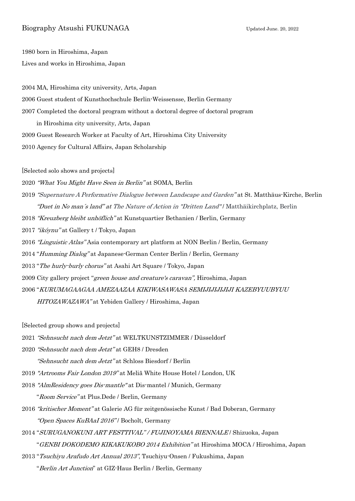## Biography Atsushi FUKUNAGA Updated June. 20, 2022

1980 born in Hiroshima, Japan Lives and works in Hiroshima, Japan

2004 MA, Hiroshima city university, Arts, Japan

- 2006 Guest student of Kunsthochschule Berlin-Weissensse, Berlin Germany
- 2007 Completed the doctoral program without a doctoral degree of doctoral program

in Hiroshima city university, Arts, Japan

- 2009 Guest Research Worker at Faculty of Art, Hiroshima City University
- 2010 Agency for Cultural Affairs, Japan Scholarship

[Selected solo shows and projects]

2020 "What You Might Have Seen in Berlin" at SOMA, Berlin

- 2019 "Supernature A Performative Dialogue between Landscape and Garden" at St. Matthäus-Kirche, Berlin "Duet in No man´s land" at The Nature of Action in "Dritten Land" / Matthäikirchplatz, Berlin
- 2018 "Kreuzberg bleibt unhöflich" at Kunstquartier Bethanien / Berlin, Germany
- 2017 "ikóynu" at Gallery t / Tokyo, Japan
- 2016 "Linguistic Atlas" Asia contemporary art platform at NON Berlin / Berlin, Germany
- 2014 "Humming Dialog" at Japanese-German Center Berlin / Berlin, Germany
- 2013 "The hurly-burly chorus" at Asahi Art Square / Tokyo, Japan
- 2009 City gallery project "green house and creature's caravan", Hiroshima, Japan
- 2006 "KURUMAGAAGAA AMEZAAZAA KIKIWASAWASA SEMIJIJIJIJIJI KAZEBYUUBYUU

HITOZAWAZAWA" at Yebiden Gallery / Hiroshima, Japan

[Selected group shows and projects]

- 2021 "Sehnsucht nach dem Jetzt" at WELTKUNSTZIMMER / Düsseldorf
- 2020 "Sehnsucht nach dem Jetzt" at GEH8 / Dresden

"Sehnsucht nach dem Jetzt" at Schloss Biesdorf / Berlin

- 2019 "Artrooms Fair London 2019" at Meliã White House Hotel / London, UK
- 2018 "AlmResidency goes Dis-mantle" at Dis-mantel / Munich, Germany "Room Service" at Plus.Dede / Berlin, Germany
- 2016 "kritischer Moment" at Galerie AG für zeitgenössische Kunst / Bad Doberan, Germany "Open Spaces KuBAaI 2016" / Bocholt, Germany
- 2014 "SURUGANOKUNI ART FESTTIVAL" / FUJINOYAMA BIENNALE / Shizuoka, Japan "GENBI DOKODEMO KIKAKUKOBO 2014 Exhibition" at Hiroshima MOCA / Hiroshima, Japan
- 2013 "Tsuchiyu Arafudo Art Annual 2013", Tsuchiyu-Onsen / Fukushima, Japan
	- "Berlin Art Junction" at GIZ-Haus Berlin / Berlin, Germany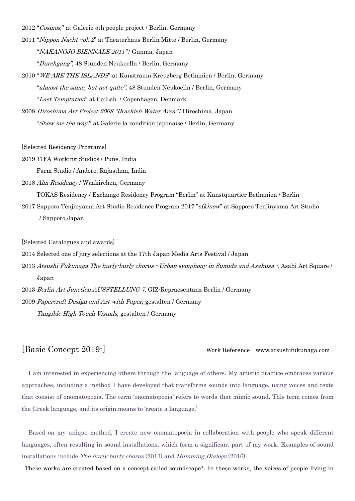2012 "Cosmos," at Galerie 5th people project / Berlin, Germany

2011 "Nippon Nacht vol. 2" at Theaterhaus Berlin Mitte / Berlin, Germany

"NAKANOJO BIENNALE 2011"/ Gunma, Japan

"Durchgang", 48 Stunden Neukoelln / Berlin, Germany

2010 "WE ARE THE ISLANDS" at Kunstraum Kreuzberg Bethanien / Berlin, Germany

"almost the same, but not quite", 48 Stunden Neukoelln / Berlin, Germany

"Last Temptation" at Co-Lab. / Copenhagen, Denmark

2008 Hiroshima Art Project 2008 "Brackish Water Area" / Hiroshima, Japan

"Show me the way!" at Galerie la-condition-japonaise / Berlin, Germany

[Selected Residency Programs]

2019 TIFA Working Studios / Pune, India

Farm Studio / Andore, Rajasthan, India

2018 Alm Residency / Waakirchen, Germany

TOKAS Residency / Exchange Residency Program "Berlin" at Kunstquartier Bethanien / Berlin

2017 Sapporo Tenjinyama Art Studio Residence Program 2017 "s(k)now" at Sapporo Tenjinyama Art Studio / Sapporo,Japan

[Selected Catalogues and awards]

2014 Selected one of jury selections at the 17th Japan Media Arts Festival / Japan

- 2013 Atsushi Fukunaga The hurly-burly chorus Urban symphony in Sumida and Asakusa -, Asahi Art Square / Japan
- 2013 Berlin Art Junction AUSSTELLUNG 7, GIZ-Repraesentanz Berlin / Germany

2009 Papercraft Design and Art with Paper, gestalten / Germany

Tangible High Touch Visuals, gestalten / Germany

## [Basic Concept 2019-] Work Reference www.atsushifukunaga.com

I am interested in experiencing others through the language of others. My artistic practice embraces various approaches, including a method I have developed that transforms sounds into language, using voices and texts that consist of onomatopoeia. The term 'onomatopoeia' refers to words that mimic sound. This term comes from the Greek language, and its origin means to 'create a language.'

Based on my unique method, I create new onomatopoeia in collaboration with people who speak different languages, often resulting in sound installations, which form a significant part of my work. Examples of sound installations include The hurly-burly chorus (2013) and Humming Dialogs (2016).

These works are created based on a concept called soundscape\*. In these works, the voices of people living in